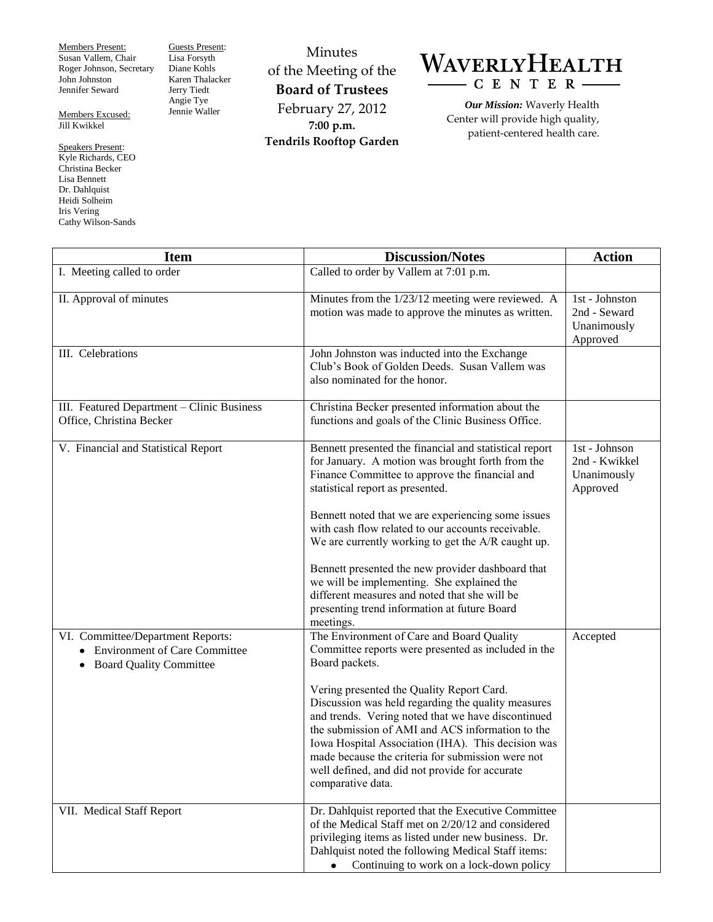Members Present: Susan Vallem, Chair Roger Johnson, Secretary John Johnston Jennifer Seward

Members Excused: Jill Kwikkel

Speakers Present: Kyle Richards, CEO Christina Becker Lisa Bennett Dr. Dahlquist Heidi Solheim Iris Vering Cathy Wilson-Sands

Guests Present: Lisa Forsyth Diane Kohls Karen Thalacker Jerry Tiedt Angie Tye Jennie Waller

Minutes of the Meeting of the **Board of Trustees** February 27, 2012 **7:00 p.m. Tendrils Rooftop Garden**

## WAVERLYHEALTH  $-$  C E N T E R  $\cdot$

*Our Mission:* Waverly Health Center will provide high quality, patient-centered health care.

| <b>Item</b>                                                                                                              | <b>Discussion/Notes</b>                                                                                                                                                                                                                                                                                                                                                                                                                                                                                           | <b>Action</b>                                               |
|--------------------------------------------------------------------------------------------------------------------------|-------------------------------------------------------------------------------------------------------------------------------------------------------------------------------------------------------------------------------------------------------------------------------------------------------------------------------------------------------------------------------------------------------------------------------------------------------------------------------------------------------------------|-------------------------------------------------------------|
| I. Meeting called to order                                                                                               | Called to order by Vallem at 7:01 p.m.                                                                                                                                                                                                                                                                                                                                                                                                                                                                            |                                                             |
|                                                                                                                          |                                                                                                                                                                                                                                                                                                                                                                                                                                                                                                                   |                                                             |
| II. Approval of minutes                                                                                                  | Minutes from the 1/23/12 meeting were reviewed. A<br>motion was made to approve the minutes as written.                                                                                                                                                                                                                                                                                                                                                                                                           | 1st - Johnston<br>2nd - Seward<br>Unanimously<br>Approved   |
| III. Celebrations                                                                                                        | John Johnston was inducted into the Exchange<br>Club's Book of Golden Deeds. Susan Vallem was<br>also nominated for the honor.                                                                                                                                                                                                                                                                                                                                                                                    |                                                             |
| III. Featured Department - Clinic Business<br>Office, Christina Becker                                                   | Christina Becker presented information about the<br>functions and goals of the Clinic Business Office.                                                                                                                                                                                                                                                                                                                                                                                                            |                                                             |
| V. Financial and Statistical Report                                                                                      | Bennett presented the financial and statistical report<br>for January. A motion was brought forth from the<br>Finance Committee to approve the financial and<br>statistical report as presented.<br>Bennett noted that we are experiencing some issues<br>with cash flow related to our accounts receivable.                                                                                                                                                                                                      | $1st - Johnson$<br>2nd - Kwikkel<br>Unanimously<br>Approved |
|                                                                                                                          | We are currently working to get the A/R caught up.<br>Bennett presented the new provider dashboard that<br>we will be implementing. She explained the<br>different measures and noted that she will be<br>presenting trend information at future Board<br>meetings.                                                                                                                                                                                                                                               |                                                             |
| VI. Committee/Department Reports:<br><b>Environment of Care Committee</b><br><b>Board Quality Committee</b><br>$\bullet$ | The Environment of Care and Board Quality<br>Committee reports were presented as included in the<br>Board packets.<br>Vering presented the Quality Report Card.<br>Discussion was held regarding the quality measures<br>and trends. Vering noted that we have discontinued<br>the submission of AMI and ACS information to the<br>Iowa Hospital Association (IHA). This decision was<br>made because the criteria for submission were not<br>well defined, and did not provide for accurate<br>comparative data. | Accepted                                                    |
| VII. Medical Staff Report                                                                                                | Dr. Dahlquist reported that the Executive Committee<br>of the Medical Staff met on 2/20/12 and considered<br>privileging items as listed under new business. Dr.<br>Dahlquist noted the following Medical Staff items:<br>Continuing to work on a lock-down policy                                                                                                                                                                                                                                                |                                                             |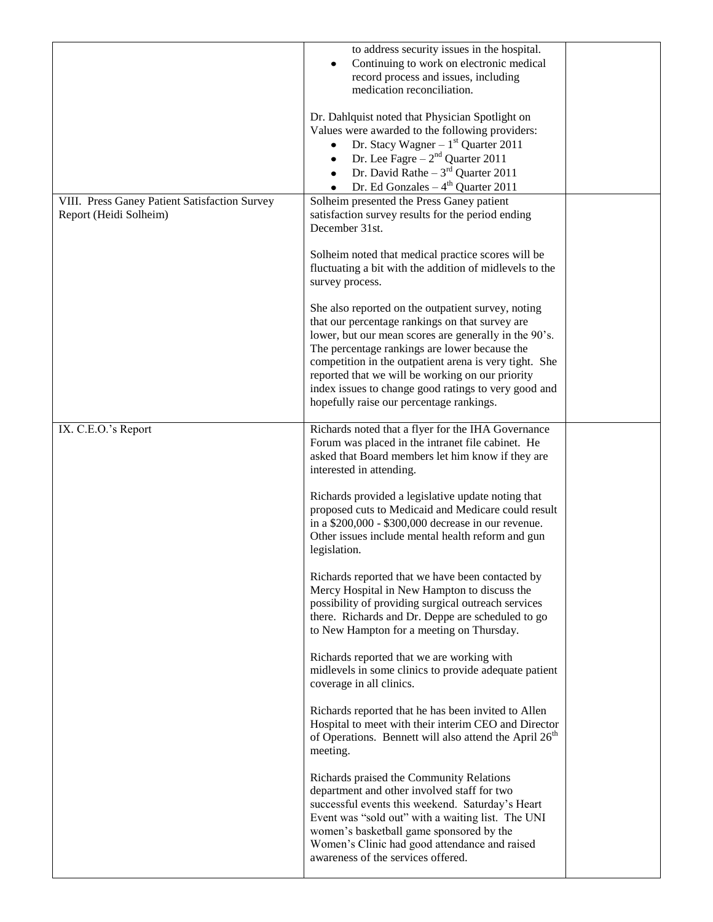|                                               | to address security issues in the hospital.                        |  |
|-----------------------------------------------|--------------------------------------------------------------------|--|
|                                               | Continuing to work on electronic medical                           |  |
|                                               | record process and issues, including                               |  |
|                                               | medication reconciliation.                                         |  |
|                                               |                                                                    |  |
|                                               | Dr. Dahlquist noted that Physician Spotlight on                    |  |
|                                               | Values were awarded to the following providers:                    |  |
|                                               | Dr. Stacy Wagner $-1st$ Quarter 2011<br>$\bullet$                  |  |
|                                               | Dr. Lee Fagre $-2nd$ Quarter 2011<br>$\bullet$                     |  |
|                                               | Dr. David Rathe – $3rd$ Quarter 2011<br>$\bullet$                  |  |
|                                               | Dr. Ed Gonzales $-4th$ Quarter 2011<br>$\bullet$                   |  |
| VIII. Press Ganey Patient Satisfaction Survey | Solheim presented the Press Ganey patient                          |  |
| Report (Heidi Solheim)                        | satisfaction survey results for the period ending                  |  |
|                                               | December 31st.                                                     |  |
|                                               |                                                                    |  |
|                                               | Solheim noted that medical practice scores will be                 |  |
|                                               | fluctuating a bit with the addition of midlevels to the            |  |
|                                               | survey process.                                                    |  |
|                                               |                                                                    |  |
|                                               | She also reported on the outpatient survey, noting                 |  |
|                                               | that our percentage rankings on that survey are                    |  |
|                                               | lower, but our mean scores are generally in the 90's.              |  |
|                                               | The percentage rankings are lower because the                      |  |
|                                               | competition in the outpatient arena is very tight. She             |  |
|                                               | reported that we will be working on our priority                   |  |
|                                               | index issues to change good ratings to very good and               |  |
|                                               | hopefully raise our percentage rankings.                           |  |
|                                               |                                                                    |  |
| IX. C.E.O.'s Report                           | Richards noted that a flyer for the IHA Governance                 |  |
|                                               | Forum was placed in the intranet file cabinet. He                  |  |
|                                               | asked that Board members let him know if they are                  |  |
|                                               | interested in attending.                                           |  |
|                                               |                                                                    |  |
|                                               | Richards provided a legislative update noting that                 |  |
|                                               | proposed cuts to Medicaid and Medicare could result                |  |
|                                               | in a \$200,000 - \$300,000 decrease in our revenue.                |  |
|                                               | Other issues include mental health reform and gun                  |  |
|                                               | legislation.                                                       |  |
|                                               |                                                                    |  |
|                                               | Richards reported that we have been contacted by                   |  |
|                                               | Mercy Hospital in New Hampton to discuss the                       |  |
|                                               | possibility of providing surgical outreach services                |  |
|                                               | there. Richards and Dr. Deppe are scheduled to go                  |  |
|                                               | to New Hampton for a meeting on Thursday.                          |  |
|                                               |                                                                    |  |
|                                               | Richards reported that we are working with                         |  |
|                                               | midlevels in some clinics to provide adequate patient              |  |
|                                               | coverage in all clinics.                                           |  |
|                                               |                                                                    |  |
|                                               | Richards reported that he has been invited to Allen                |  |
|                                               | Hospital to meet with their interim CEO and Director               |  |
|                                               | of Operations. Bennett will also attend the April 26 <sup>th</sup> |  |
|                                               | meeting.                                                           |  |
|                                               |                                                                    |  |
|                                               | Richards praised the Community Relations                           |  |
|                                               | department and other involved staff for two                        |  |
|                                               | successful events this weekend. Saturday's Heart                   |  |
|                                               | Event was "sold out" with a waiting list. The UNI                  |  |
|                                               | women's basketball game sponsored by the                           |  |
|                                               | Women's Clinic had good attendance and raised                      |  |
|                                               | awareness of the services offered.                                 |  |
|                                               |                                                                    |  |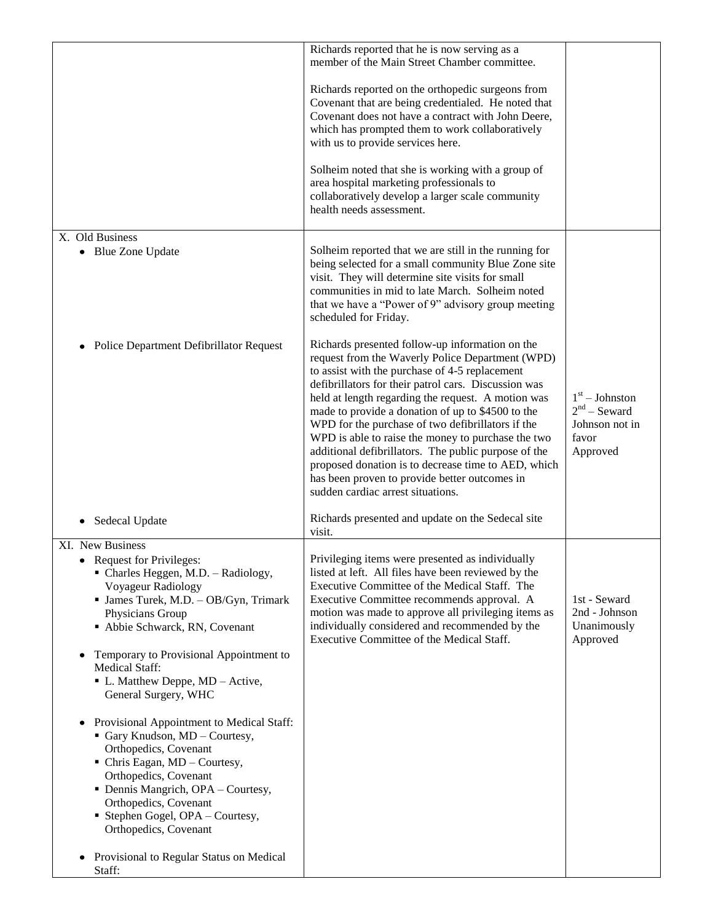|                                                                                                                                                                                                                                                                                                                                                                                                                                                                                                                                 | Richards reported that he is now serving as a<br>member of the Main Street Chamber committee.                                                                                                                                                                                                                                                                                                                                                                                                                                                                                                                                            |                                                                           |
|---------------------------------------------------------------------------------------------------------------------------------------------------------------------------------------------------------------------------------------------------------------------------------------------------------------------------------------------------------------------------------------------------------------------------------------------------------------------------------------------------------------------------------|------------------------------------------------------------------------------------------------------------------------------------------------------------------------------------------------------------------------------------------------------------------------------------------------------------------------------------------------------------------------------------------------------------------------------------------------------------------------------------------------------------------------------------------------------------------------------------------------------------------------------------------|---------------------------------------------------------------------------|
|                                                                                                                                                                                                                                                                                                                                                                                                                                                                                                                                 | Richards reported on the orthopedic surgeons from<br>Covenant that are being credentialed. He noted that<br>Covenant does not have a contract with John Deere,<br>which has prompted them to work collaboratively<br>with us to provide services here.<br>Solheim noted that she is working with a group of<br>area hospital marketing professionals to<br>collaboratively develop a larger scale community                                                                                                                                                                                                                              |                                                                           |
|                                                                                                                                                                                                                                                                                                                                                                                                                                                                                                                                 | health needs assessment.                                                                                                                                                                                                                                                                                                                                                                                                                                                                                                                                                                                                                 |                                                                           |
| X. Old Business<br><b>Blue Zone Update</b><br>٠                                                                                                                                                                                                                                                                                                                                                                                                                                                                                 | Solheim reported that we are still in the running for<br>being selected for a small community Blue Zone site<br>visit. They will determine site visits for small<br>communities in mid to late March. Solheim noted<br>that we have a "Power of 9" advisory group meeting<br>scheduled for Friday.                                                                                                                                                                                                                                                                                                                                       |                                                                           |
| Police Department Defibrillator Request<br>٠                                                                                                                                                                                                                                                                                                                                                                                                                                                                                    | Richards presented follow-up information on the<br>request from the Waverly Police Department (WPD)<br>to assist with the purchase of 4-5 replacement<br>defibrillators for their patrol cars. Discussion was<br>held at length regarding the request. A motion was<br>made to provide a donation of up to \$4500 to the<br>WPD for the purchase of two defibrillators if the<br>WPD is able to raise the money to purchase the two<br>additional defibrillators. The public purpose of the<br>proposed donation is to decrease time to AED, which<br>has been proven to provide better outcomes in<br>sudden cardiac arrest situations. | $1st - Johnston$<br>$2nd$ – Seward<br>Johnson not in<br>favor<br>Approved |
| Sedecal Update<br>٠                                                                                                                                                                                                                                                                                                                                                                                                                                                                                                             | Richards presented and update on the Sedecal site<br>visit.                                                                                                                                                                                                                                                                                                                                                                                                                                                                                                                                                                              |                                                                           |
| XI. New Business<br>• Request for Privileges:<br>• Charles Heggen, M.D. - Radiology,<br>Voyageur Radiology<br>• James Turek, M.D. - OB/Gyn, Trimark<br>Physicians Group<br>Abbie Schwarck, RN, Covenant<br>Temporary to Provisional Appointment to<br>٠<br>Medical Staff:<br>• L. Matthew Deppe, MD - Active,<br>General Surgery, WHC<br>Provisional Appointment to Medical Staff:<br>$\bullet$<br>Gary Knudson, MD - Courtesy,<br>Orthopedics, Covenant<br>$\blacksquare$ Chris Eagan, MD – Courtesy,<br>Orthopedics, Covenant | Privileging items were presented as individually<br>listed at left. All files have been reviewed by the<br>Executive Committee of the Medical Staff. The<br>Executive Committee recommends approval. A<br>motion was made to approve all privileging items as<br>individually considered and recommended by the<br>Executive Committee of the Medical Staff.                                                                                                                                                                                                                                                                             | 1st - Seward<br>2nd - Johnson<br>Unanimously<br>Approved                  |
| • Dennis Mangrich, OPA - Courtesy,<br>Orthopedics, Covenant<br>Stephen Gogel, OPA - Courtesy,<br>Orthopedics, Covenant<br>Provisional to Regular Status on Medical<br>Staff:                                                                                                                                                                                                                                                                                                                                                    |                                                                                                                                                                                                                                                                                                                                                                                                                                                                                                                                                                                                                                          |                                                                           |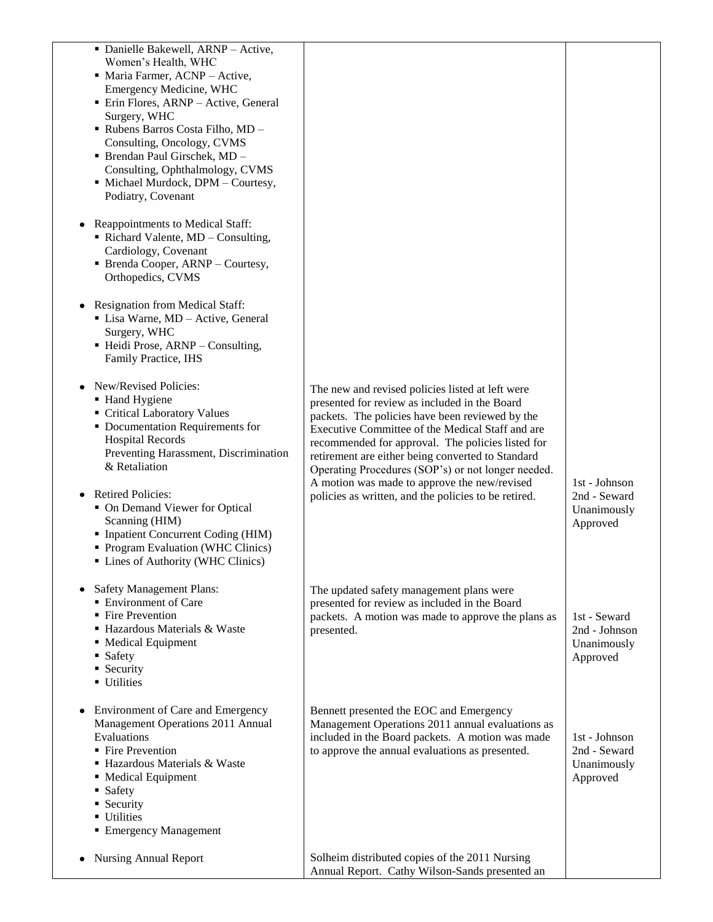| · Danielle Bakewell, ARNP - Active,<br>Women's Health, WHC<br>• Maria Farmer, ACNP - Active,<br>Emergency Medicine, WHC<br>· Erin Flores, ARNP - Active, General<br>Surgery, WHC<br>- Rubens Barros Costa Filho, MD -<br>Consulting, Oncology, CVMS<br>· Brendan Paul Girschek, MD -<br>Consulting, Ophthalmology, CVMS<br>· Michael Murdock, DPM - Courtesy,<br>Podiatry, Covenant<br>Reappointments to Medical Staff:<br>Richard Valente, MD - Consulting,<br>Cardiology, Covenant<br>• Brenda Cooper, ARNP – Courtesy,<br>Orthopedics, CVMS<br>Resignation from Medical Staff:<br>• Lisa Warne, MD - Active, General<br>Surgery, WHC<br>• Heidi Prose, ARNP - Consulting,<br>Family Practice, IHS |                                                                                                                                                                                                                                                                                                                                                                                                                                                                                  |                                                          |
|------------------------------------------------------------------------------------------------------------------------------------------------------------------------------------------------------------------------------------------------------------------------------------------------------------------------------------------------------------------------------------------------------------------------------------------------------------------------------------------------------------------------------------------------------------------------------------------------------------------------------------------------------------------------------------------------------|----------------------------------------------------------------------------------------------------------------------------------------------------------------------------------------------------------------------------------------------------------------------------------------------------------------------------------------------------------------------------------------------------------------------------------------------------------------------------------|----------------------------------------------------------|
| New/Revised Policies:<br>• Hand Hygiene<br>Critical Laboratory Values<br>• Documentation Requirements for<br><b>Hospital Records</b><br>Preventing Harassment, Discrimination<br>& Retaliation<br><b>Retired Policies:</b><br>• On Demand Viewer for Optical<br>Scanning (HIM)<br>Inpatient Concurrent Coding (HIM)<br>• Program Evaluation (WHC Clinics)<br>• Lines of Authority (WHC Clinics)                                                                                                                                                                                                                                                                                                      | The new and revised policies listed at left were<br>presented for review as included in the Board<br>packets. The policies have been reviewed by the<br>Executive Committee of the Medical Staff and are<br>recommended for approval. The policies listed for<br>retirement are either being converted to Standard<br>Operating Procedures (SOP's) or not longer needed.<br>A motion was made to approve the new/revised<br>policies as written, and the policies to be retired. | 1st - Johnson<br>2nd - Seward<br>Unanimously<br>Approved |
| <b>Safety Management Plans:</b><br><b>Environment of Care</b><br>• Fire Prevention<br>• Hazardous Materials & Waste<br>• Medical Equipment<br>• Safety<br>• Security<br><b>Utilities</b>                                                                                                                                                                                                                                                                                                                                                                                                                                                                                                             | The updated safety management plans were<br>presented for review as included in the Board<br>packets. A motion was made to approve the plans as<br>presented.                                                                                                                                                                                                                                                                                                                    | 1st - Seward<br>2nd - Johnson<br>Unanimously<br>Approved |
| Environment of Care and Emergency<br>Management Operations 2011 Annual<br>Evaluations<br>• Fire Prevention<br>· Hazardous Materials & Waste<br>• Medical Equipment<br>• Safety<br>• Security<br><b>Utilities</b><br>■ Emergency Management                                                                                                                                                                                                                                                                                                                                                                                                                                                           | Bennett presented the EOC and Emergency<br>Management Operations 2011 annual evaluations as<br>included in the Board packets. A motion was made<br>to approve the annual evaluations as presented.                                                                                                                                                                                                                                                                               | 1st - Johnson<br>2nd - Seward<br>Unanimously<br>Approved |
| <b>Nursing Annual Report</b>                                                                                                                                                                                                                                                                                                                                                                                                                                                                                                                                                                                                                                                                         | Solheim distributed copies of the 2011 Nursing<br>Annual Report. Cathy Wilson-Sands presented an                                                                                                                                                                                                                                                                                                                                                                                 |                                                          |